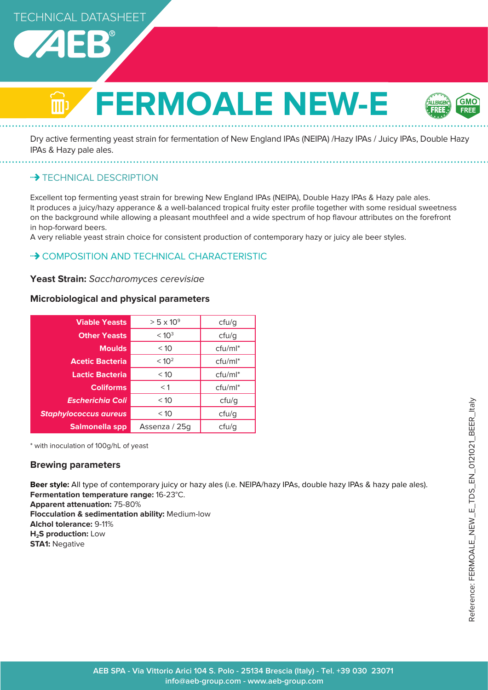

# **FERMOALE NEW-E**



Dry active fermenting yeast strain for fermentation of New England IPAs (NEIPA) /Hazy IPAs / Juicy IPAs, Double Hazy IPAs & Hazy pale ales.

**\*\*> TECHNICAL DESCRIPTION** 

Excellent top fermenting yeast strain for brewing New England IPAs (NEIPA), Double Hazy IPAs & Hazy pale ales. It produces a juicy/hazy apperance & a well-balanced tropical fruity ester profile together with some residual sweetness on the background while allowing a pleasant mouthfeel and a wide spectrum of hop flavour attributes on the forefront in hop-forward beers.

A very reliable yeast strain choice for consistent production of contemporary hazy or juicy ale beer styles.

# • COMPOSITION AND TECHNICAL CHARACTERISTIC

**Yeast Strain:** Saccharomyces cerevisiae

# **Microbiological and physical parameters**

| <b>Viable Yeasts</b>         | $> 5 \times 10^{9}$ | ctu/g      |
|------------------------------|---------------------|------------|
| <b>Other Yeasts</b>          | < 10 <sup>3</sup>   | ctu/g      |
| <b>Moulds</b>                | < 10                | $ctu/ml^*$ |
| <b>Acetic Bacteria</b>       | < 10 <sup>2</sup>   | $ctu/ml^*$ |
| <b>Lactic Bacteria</b>       | < 10                | $ctu/ml^*$ |
| <b>Coliforms</b>             | $<$ 1               | $ctu/ml^*$ |
| <b>Escherichia Coli</b>      | < 10                | ctu/g      |
| <b>Staphylococcus aureus</b> | < 10                | ctu/g      |
| Salmonella spp               | Assenza / 25g       | cfu/g      |

\* with inoculation of 100g/hL of yeast

# **Brewing parameters**

**Beer style:** All type of contemporary juicy or hazy ales (i.e. NEIPA/hazy IPAs, double hazy IPAs & hazy pale ales). **Fermentation temperature range:** 16-23°C.

**Apparent attenuation:** 75-80%

**Flocculation & sedimentation ability:** Medium-low **Alchol tolerance:** 9-11% **H<sub>2</sub>S production:** Low **STA1: Negative**